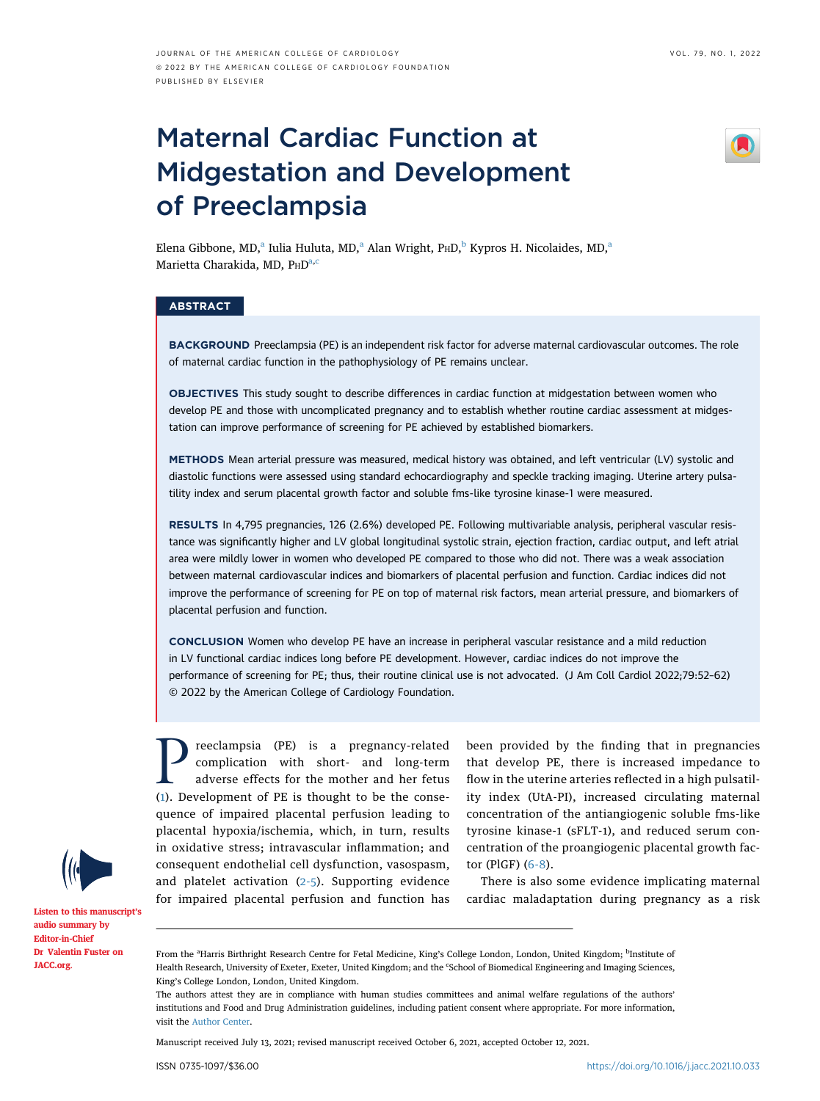# Maternal Cardiac Function at Midgestation and Development of Preeclampsia



Elen[a](#page-0-0) Gi[b](#page-0-0)bone, MD,<sup>a</sup> Iulia Huluta, MD,<sup>a</sup> Alan Wright, P $HD$ ,<sup>b</sup> Kypros H. Nicolaides, MD,<sup>a</sup> Marietta Charakid[a,](#page-0-0) MD, PHD<sup>a,[c](#page-0-1)</sup>

# **ABSTRACT**

BACKGROUND Preeclampsia (PE) is an independent risk factor for adverse maternal cardiovascular outcomes. The role of maternal cardiac function in the pathophysiology of PE remains unclear.

OBJECTIVES This study sought to describe differences in cardiac function at midgestation between women who develop PE and those with uncomplicated pregnancy and to establish whether routine cardiac assessment at midgestation can improve performance of screening for PE achieved by established biomarkers.

METHODS Mean arterial pressure was measured, medical history was obtained, and left ventricular (LV) systolic and diastolic functions were assessed using standard echocardiography and speckle tracking imaging. Uterine artery pulsatility index and serum placental growth factor and soluble fms-like tyrosine kinase-1 were measured.

RESULTS In 4,795 pregnancies, 126 (2.6%) developed PE. Following multivariable analysis, peripheral vascular resistance was significantly higher and LV global longitudinal systolic strain, ejection fraction, cardiac output, and left atrial area were mildly lower in women who developed PE compared to those who did not. There was a weak association between maternal cardiovascular indices and biomarkers of placental perfusion and function. Cardiac indices did not improve the performance of screening for PE on top of maternal risk factors, mean arterial pressure, and biomarkers of placental perfusion and function.

CONCLUSION Women who develop PE have an increase in peripheral vascular resistance and a mild reduction in LV functional cardiac indices long before PE development. However, cardiac indices do not improve the performance of screening for PE; thus, their routine clinical use is not advocated. (J Am Coll Cardiol 2022;79:52–62) © 2022 by the American College of Cardiology Foundation.

**Preeclampsia** (PE) is a pregnancy-related<br>complication with short- and long-term<br>adverse effects for the mother and her fetus<br>(1). Development of PE is thought to be the consecomplication with short- and long-term adverse effects for the mother and her fetus ([1](#page-9-0)). Development of PE is thought to be the consequence of impaired placental perfusion leading to placental hypoxia/ischemia, which, in turn, results in oxidative stress; intravascular inflammation; and consequent endothelial cell dysfunction, vasospasm, and platelet activation ([2-5\)](#page-9-1). Supporting evidence for impaired placental perfusion and function has

been provided by the finding that in pregnancies that develop PE, there is increased impedance to flow in the uterine arteries reflected in a high pulsatility index (UtA-PI), increased circulating maternal concentration of the antiangiogenic soluble fms-like tyrosine kinase-1 (sFLT-1), and reduced serum concentration of the proangiogenic placental growth factor (PlGF) ([6-8\)](#page-9-2).

There is also some evidence implicating maternal cardiac maladaptation during pregnancy as a risk

[Listen to this manuscript](http://www.onlinejacc.org/podcasts)'s [audio summary by](http://www.onlinejacc.org/podcasts) [Editor-in-Chief](http://www.onlinejacc.org/podcasts) [Dr Valentin Fuster on](http://www.onlinejacc.org/podcasts) [JACC.org](http://www.onlinejacc.org).

Manuscript received July 13, 2021; revised manuscript received October 6, 2021, accepted October 12, 2021.

<span id="page-0-1"></span><span id="page-0-0"></span>From the <sup>a</sup>Harris Birthright Research Centre for Fetal Medicine, King's College London, London, United Kingdom; <sup>b</sup>Institute of Health Research, University of Exeter, Exeter, United Kingdom; and the 'School of Biomedical Engineering and Imaging Sciences, King's College London, London, United Kingdom.

The authors attest they are in compliance with human studies committees and animal welfare regulations of the authors' institutions and Food and Drug Administration guidelines, including patient consent where appropriate. For more information, visit the [Author Center](https://www.jacc.org/author-center).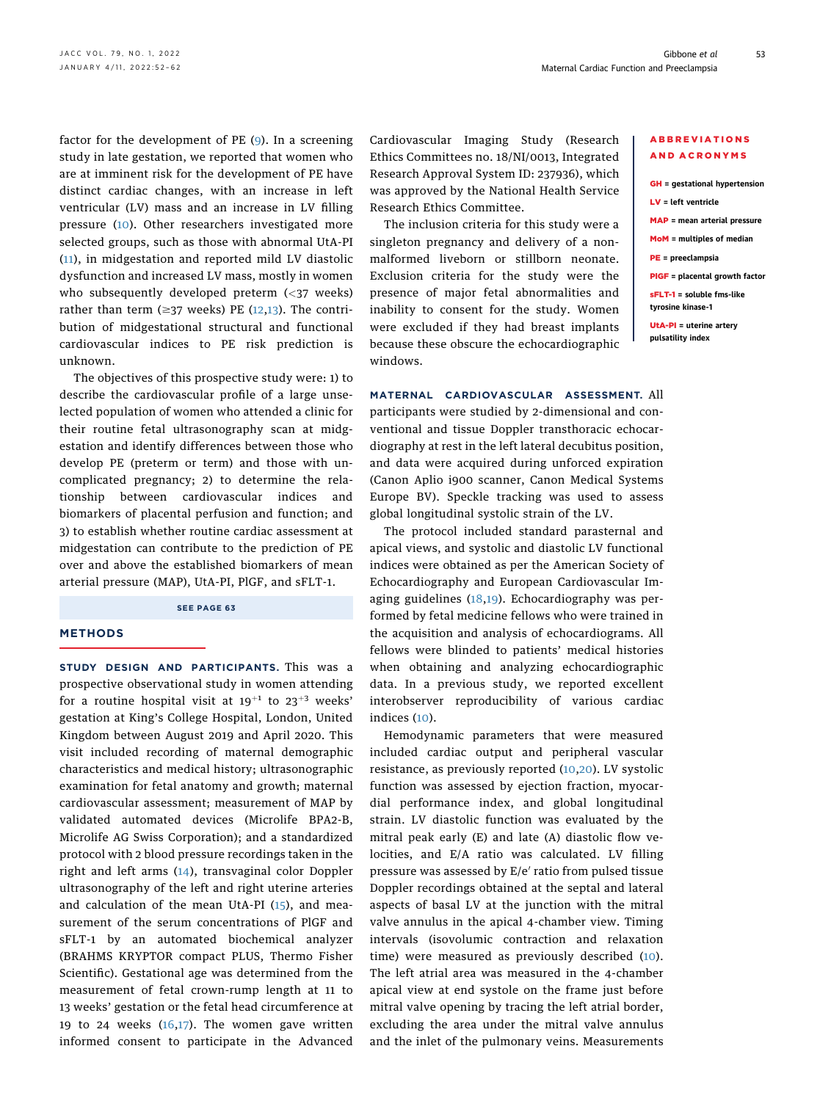factor for the development of PE ([9\)](#page-9-3). In a screening study in late gestation, we reported that women who are at imminent risk for the development of PE have distinct cardiac changes, with an increase in left ventricular (LV) mass and an increase in LV filling pressure [\(10\)](#page-9-4). Other researchers investigated more selected groups, such as those with abnormal UtA-PI ([11\)](#page-9-5), in midgestation and reported mild LV diastolic dysfunction and increased LV mass, mostly in women who subsequently developed preterm  $\left\langle \langle 37 \rangle \right\rangle$  weeks) rather than term ( $\geq$ 37 weeks) PE ([12](#page-9-6),[13\)](#page-9-7). The contribution of midgestational structural and functional cardiovascular indices to PE risk prediction is unknown.

The objectives of this prospective study were: 1) to describe the cardiovascular profile of a large unselected population of women who attended a clinic for their routine fetal ultrasonography scan at midgestation and identify differences between those who develop PE (preterm or term) and those with uncomplicated pregnancy; 2) to determine the relationship between cardiovascular indices and biomarkers of placental perfusion and function; and 3) to establish whether routine cardiac assessment at midgestation can contribute to the prediction of PE over and above the established biomarkers of mean arterial pressure (MAP), UtA-PI, PlGF, and sFLT-1.

#### SEE PAGE 63

# **METHODS**

STUDY DESIGN AND PARTICIPANTS. This was a prospective observational study in women attending for a routine hospital visit at  $19^{+1}$  to  $23^{+3}$  weeks' gestation at King's College Hospital, London, United Kingdom between August 2019 and April 2020. This visit included recording of maternal demographic characteristics and medical history; ultrasonographic examination for fetal anatomy and growth; maternal cardiovascular assessment; measurement of MAP by validated automated devices (Microlife BPA2-B, Microlife AG Swiss Corporation); and a standardized protocol with 2 blood pressure recordings taken in the right and left arms ([14\)](#page-9-8), transvaginal color Doppler ultrasonography of the left and right uterine arteries and calculation of the mean UtA-PI  $(15)$  $(15)$ , and measurement of the serum concentrations of PlGF and sFLT-1 by an automated biochemical analyzer (BRAHMS KRYPTOR compact PLUS, Thermo Fisher Scientific). Gestational age was determined from the measurement of fetal crown-rump length at 11 to 13 weeks' gestation or the fetal head circumference at 19 to 24 weeks  $(16,17)$  $(16,17)$ . The women gave written informed consent to participate in the Advanced Cardiovascular Imaging Study (Research Ethics Committees no. 18/NI/0013, Integrated Research Approval System ID: 237936), which was approved by the National Health Service Research Ethics Committee.

The inclusion criteria for this study were a singleton pregnancy and delivery of a nonmalformed liveborn or stillborn neonate. Exclusion criteria for the study were the presence of major fetal abnormalities and inability to consent for the study. Women were excluded if they had breast implants because these obscure the echocardiographic windows.

MATERNAL CARDIOVASCULAR ASSESSMENT. All participants were studied by 2-dimensional and conventional and tissue Doppler transthoracic echocardiography at rest in the left lateral decubitus position, and data were acquired during unforced expiration (Canon Aplio i900 scanner, Canon Medical Systems Europe BV). Speckle tracking was used to assess global longitudinal systolic strain of the LV.

The protocol included standard parasternal and apical views, and systolic and diastolic LV functional indices were obtained as per the American Society of Echocardiography and European Cardiovascular Imaging guidelines  $(18,19)$  $(18,19)$  $(18,19)$  $(18,19)$  $(18,19)$ . Echocardiography was performed by fetal medicine fellows who were trained in the acquisition and analysis of echocardiograms. All fellows were blinded to patients' medical histories when obtaining and analyzing echocardiographic data. In a previous study, we reported excellent interobserver reproducibility of various cardiac indices ([10\)](#page-9-4).

Hemodynamic parameters that were measured included cardiac output and peripheral vascular resistance, as previously reported ([10,](#page-9-4)[20\)](#page-9-14). LV systolic function was assessed by ejection fraction, myocardial performance index, and global longitudinal strain. LV diastolic function was evaluated by the mitral peak early (E) and late (A) diastolic flow velocities, and E/A ratio was calculated. LV filling pressure was assessed by  $E/e'$  ratio from pulsed tissue Doppler recordings obtained at the septal and lateral aspects of basal LV at the junction with the mitral valve annulus in the apical 4-chamber view. Timing intervals (isovolumic contraction and relaxation time) were measured as previously described [\(10](#page-9-4)). The left atrial area was measured in the 4-chamber apical view at end systole on the frame just before mitral valve opening by tracing the left atrial border, excluding the area under the mitral valve annulus and the inlet of the pulmonary veins. Measurements

#### ABBREVIATIONS AND ACRONYMS

| $GH =$ qestational hypertension       |
|---------------------------------------|
| $LV = left$ ventricle                 |
| <b>MAP</b> = mean arterial pressure   |
| $MOM =$ multiples of median           |
| $PE = preceding$                      |
| <b>PIGF</b> = placental growth factor |

sFLT-1 = soluble fms-like tyrosine kinase-1

UtA-PI = uterine artery pulsatility index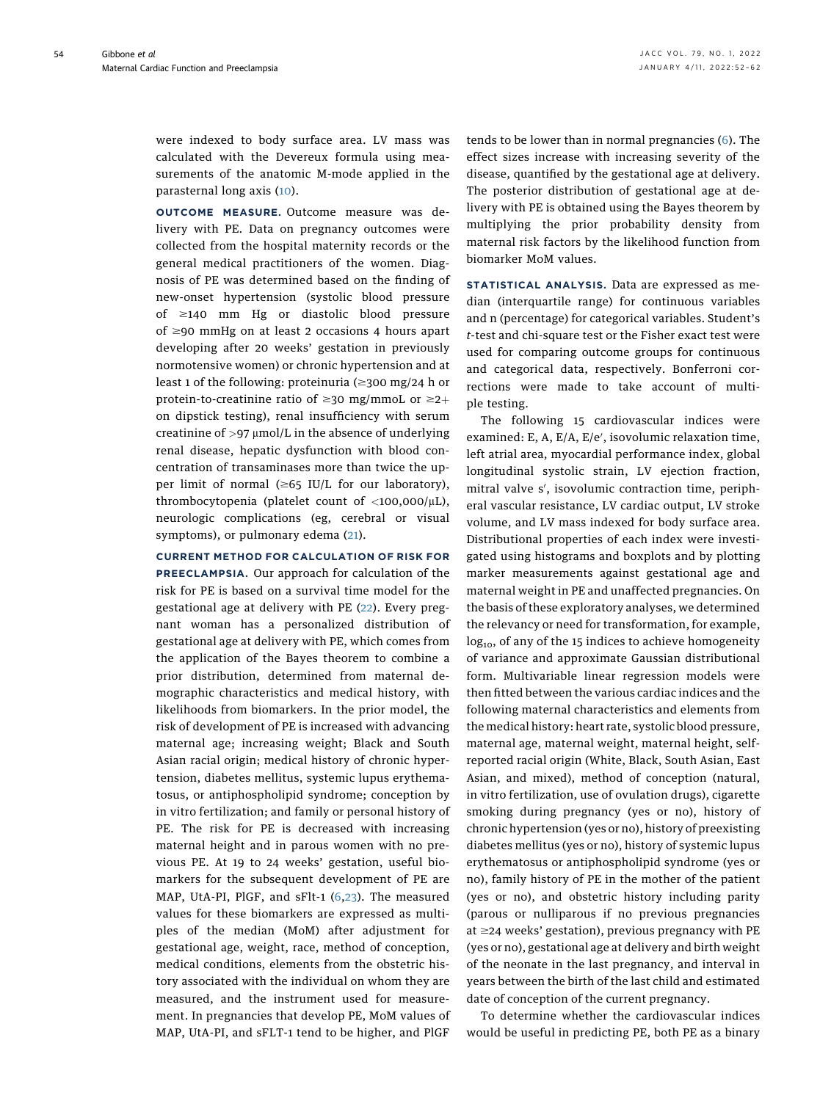54

were indexed to body surface area. LV mass was calculated with the Devereux formula using measurements of the anatomic M-mode applied in the parasternal long axis ([10\)](#page-9-4).

OUTCOME MEASURE. Outcome measure was delivery with PE. Data on pregnancy outcomes were collected from the hospital maternity records or the general medical practitioners of the women. Diagnosis of PE was determined based on the finding of new-onset hypertension (systolic blood pressure of  $\geq$ 140 mm Hg or diastolic blood pressure of  $\geq$ 90 mmHg on at least 2 occasions 4 hours apart developing after 20 weeks' gestation in previously normotensive women) or chronic hypertension and at least 1 of the following: proteinuria  $(\geq 300 \text{ mg}/24 \text{ h or}$ protein-to-creatinine ratio of  $\geq$ 30 mg/mmoL or  $\geq$ 2+ on dipstick testing), renal insufficiency with serum creatinine of  $>97 \mu$ mol/L in the absence of underlying renal disease, hepatic dysfunction with blood concentration of transaminases more than twice the upper limit of normal  $(\geq 65 \text{ IU/L}$  for our laboratory), thrombocytopenia (platelet count of  $\langle$ 100,000/ $\mu$ L), neurologic complications (eg, cerebral or visual symptoms), or pulmonary edema [\(21](#page-9-15)).

# CURRENT METHOD FOR CALCULATION OF RISK FOR

PREECLAMPSIA. Our approach for calculation of the risk for PE is based on a survival time model for the gestational age at delivery with PE ([22](#page-9-16)). Every pregnant woman has a personalized distribution of gestational age at delivery with PE, which comes from the application of the Bayes theorem to combine a prior distribution, determined from maternal demographic characteristics and medical history, with likelihoods from biomarkers. In the prior model, the risk of development of PE is increased with advancing maternal age; increasing weight; Black and South Asian racial origin; medical history of chronic hypertension, diabetes mellitus, systemic lupus erythematosus, or antiphospholipid syndrome; conception by in vitro fertilization; and family or personal history of PE. The risk for PE is decreased with increasing maternal height and in parous women with no previous PE. At 19 to 24 weeks' gestation, useful biomarkers for the subsequent development of PE are MAP, UtA-PI, PlGF, and sFlt-1 [\(6](#page-9-2),[23](#page-9-17)). The measured values for these biomarkers are expressed as multiples of the median (MoM) after adjustment for gestational age, weight, race, method of conception, medical conditions, elements from the obstetric history associated with the individual on whom they are measured, and the instrument used for measurement. In pregnancies that develop PE, MoM values of MAP, UtA-PI, and sFLT-1 tend to be higher, and PlGF

tends to be lower than in normal pregnancies [\(6](#page-9-2)). The effect sizes increase with increasing severity of the disease, quantified by the gestational age at delivery. The posterior distribution of gestational age at delivery with PE is obtained using the Bayes theorem by multiplying the prior probability density from maternal risk factors by the likelihood function from biomarker MoM values.

STATISTICAL ANALYSIS. Data are expressed as median (interquartile range) for continuous variables and n (percentage) for categorical variables. Student's t-test and chi-square test or the Fisher exact test were used for comparing outcome groups for continuous and categorical data, respectively. Bonferroni corrections were made to take account of multiple testing.

The following 15 cardiovascular indices were examined: E, A, E/A, E/e′, isovolumic relaxation time, left atrial area, myocardial performance index, global longitudinal systolic strain, LV ejection fraction, mitral valve s′, isovolumic contraction time, peripheral vascular resistance, LV cardiac output, LV stroke volume, and LV mass indexed for body surface area. Distributional properties of each index were investigated using histograms and boxplots and by plotting marker measurements against gestational age and maternal weight in PE and unaffected pregnancies. On the basis of these exploratory analyses, we determined the relevancy or need for transformation, for example,  $log_{10}$ , of any of the 15 indices to achieve homogeneity of variance and approximate Gaussian distributional form. Multivariable linear regression models were then fitted between the various cardiac indices and the following maternal characteristics and elements from the medical history: heart rate, systolic blood pressure, maternal age, maternal weight, maternal height, selfreported racial origin (White, Black, South Asian, East Asian, and mixed), method of conception (natural, in vitro fertilization, use of ovulation drugs), cigarette smoking during pregnancy (yes or no), history of chronic hypertension (yes or no), history of preexisting diabetes mellitus (yes or no), history of systemic lupus erythematosus or antiphospholipid syndrome (yes or no), family history of PE in the mother of the patient (yes or no), and obstetric history including parity (parous or nulliparous if no previous pregnancies at  $\geq$ 24 weeks' gestation), previous pregnancy with PE (yes or no), gestational age at delivery and birth weight of the neonate in the last pregnancy, and interval in years between the birth of the last child and estimated date of conception of the current pregnancy.

To determine whether the cardiovascular indices would be useful in predicting PE, both PE as a binary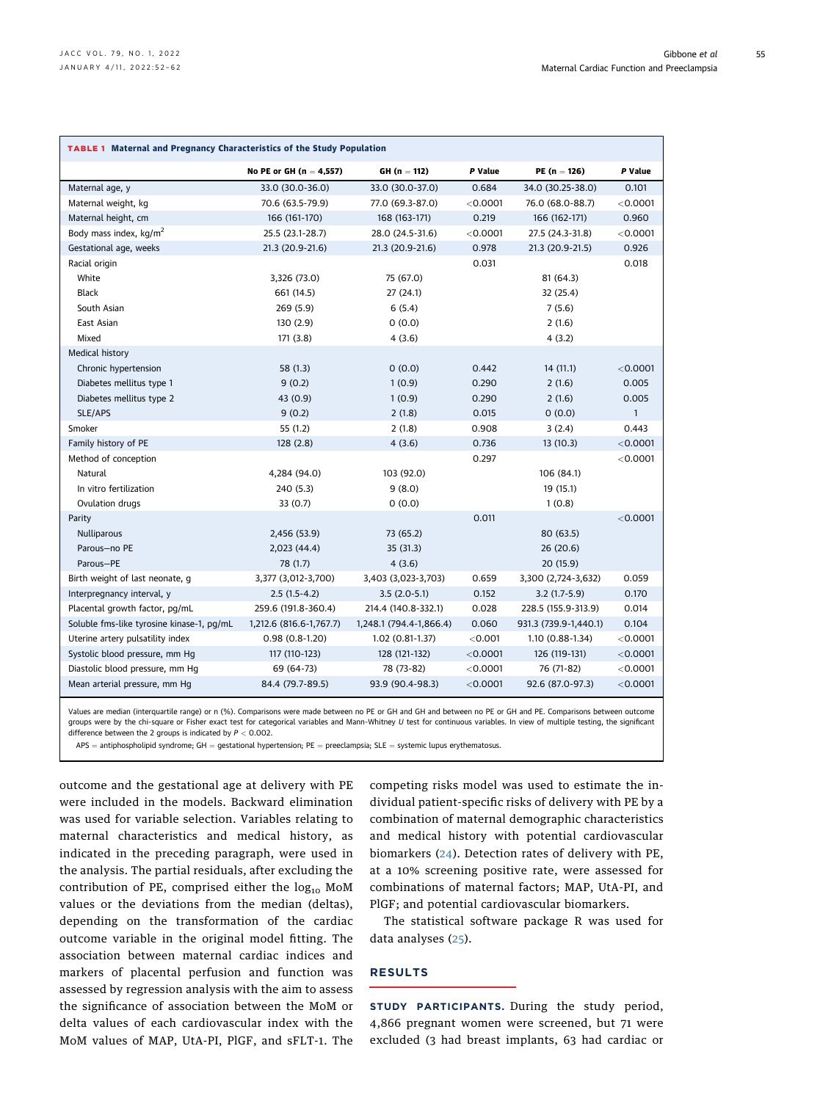<span id="page-3-0"></span>

| <b>TABLE 1 Maternal and Pregnancy Characteristics of the Study Population</b> |                           |                         |                                |                       |              |  |  |
|-------------------------------------------------------------------------------|---------------------------|-------------------------|--------------------------------|-----------------------|--------------|--|--|
|                                                                               | No PE or GH $(n = 4,557)$ | $GH (n = 112)$          | P Value                        | P Value               |              |  |  |
| Maternal age, y                                                               | 33.0 (30.0-36.0)          | 33.0 (30.0-37.0)        | 0.684                          | 34.0 (30.25-38.0)     | 0.101        |  |  |
| Maternal weight, kg                                                           | 70.6 (63.5-79.9)          | 77.0 (69.3-87.0)        | $<$ 0.0001                     | 76.0 (68.0-88.7)      |              |  |  |
| Maternal height, cm                                                           | 166 (161-170)             | 168 (163-171)           | 0.219                          | 166 (162-171)         | 0.960        |  |  |
| Body mass index, kg/m <sup>2</sup>                                            | 25.5 (23.1-28.7)          | 28.0 (24.5-31.6)        | $<$ 0.0001<br>27.5 (24.3-31.8) |                       | $<$ 0.0001   |  |  |
| Gestational age, weeks                                                        | 21.3 (20.9-21.6)          | 21.3 (20.9-21.6)        | 0.978                          | 21.3 (20.9-21.5)      |              |  |  |
| Racial origin                                                                 |                           |                         | 0.031                          |                       | 0.018        |  |  |
| White                                                                         | 3,326 (73.0)              | 75 (67.0)               |                                | 81(64.3)              |              |  |  |
| <b>Black</b>                                                                  | 661 (14.5)                | 27(24.1)                |                                | 32 (25.4)             |              |  |  |
| South Asian                                                                   | 269(5.9)                  | 6(5.4)                  |                                | 7(5.6)                |              |  |  |
| East Asian                                                                    | 130 (2.9)                 | 0(0.0)                  |                                | 2(1.6)                |              |  |  |
| Mixed                                                                         | 171(3.8)                  | 4(3.6)                  |                                | 4(3.2)                |              |  |  |
| Medical history                                                               |                           |                         |                                |                       |              |  |  |
| Chronic hypertension                                                          | 58 (1.3)                  | 0(0.0)                  | 0.442                          | 14(11.1)              | < 0.0001     |  |  |
| Diabetes mellitus type 1                                                      | 9(0.2)                    | 1(0.9)                  | 0.290                          | 2(1.6)                | 0.005        |  |  |
| Diabetes mellitus type 2                                                      | 43 (0.9)                  | 1(0.9)                  | 0.290                          | 2(1.6)                | 0.005        |  |  |
| SLE/APS                                                                       | 9(0.2)                    | 2(1.8)                  | 0.015                          | 0(0.0)                | $\mathbf{1}$ |  |  |
| Smoker                                                                        | 55(1.2)                   | 2(1.8)                  | 0.908                          | 3(2.4)                | 0.443        |  |  |
| Family history of PE                                                          | 128(2.8)                  | 4(3.6)                  | 0.736                          | 13(10.3)              | < 0.0001     |  |  |
| Method of conception                                                          |                           |                         | 0.297                          |                       | < 0.0001     |  |  |
| Natural                                                                       | 4,284 (94.0)              | 103 (92.0)              |                                | 106 (84.1)            |              |  |  |
| In vitro fertilization                                                        | 240 (5.3)                 | 9(8.0)                  | 19 (15.1)                      |                       |              |  |  |
| Ovulation drugs                                                               | 33(0.7)                   | 0(0.0)                  |                                | 1(0.8)                |              |  |  |
| Parity                                                                        |                           |                         | 0.011                          |                       | < 0.0001     |  |  |
| Nulliparous                                                                   | 2,456 (53.9)              | 73 (65.2)               |                                | 80 (63.5)             |              |  |  |
| Parous-no PE                                                                  | 2,023(44.4)               | 35(31.3)                |                                | 26(20.6)              |              |  |  |
| Parous-PE                                                                     | 78 (1.7)                  | 4(3.6)                  |                                | 20 (15.9)             |              |  |  |
| Birth weight of last neonate, g                                               | 3,377 (3,012-3,700)       | 3,403 (3,023-3,703)     | 0.659                          | 3,300 (2,724-3,632)   | 0.059        |  |  |
| Interpregnancy interval, y                                                    | $2.5(1.5-4.2)$            | $3.5(2.0-5.1)$          | 0.152                          | $3.2(1.7-5.9)$        | 0.170        |  |  |
| Placental growth factor, pg/mL                                                | 259.6 (191.8-360.4)       | 214.4 (140.8-332.1)     | 0.028                          | 228.5 (155.9-313.9)   | 0.014        |  |  |
| Soluble fms-like tyrosine kinase-1, pg/mL                                     | 1,212.6 (816.6-1,767.7)   | 1,248.1 (794.4-1,866.4) | 0.060                          | 931.3 (739.9-1,440.1) | 0.104        |  |  |
| Uterine artery pulsatility index                                              | $0.98(0.8-1.20)$          | $1.02(0.81-1.37)$       | < 0.001                        | 1.10 (0.88-1.34)      | < 0.0001     |  |  |
| Systolic blood pressure, mm Hq                                                | 117 (110-123)             | 128 (121-132)           | < 0.0001                       | 126 (119-131)         | < 0.0001     |  |  |
| Diastolic blood pressure, mm Hg                                               | 69 (64-73)                | 78 (73-82)              | $<$ 0.0001                     | 76 (71-82)            | $<$ 0.0001   |  |  |
| Mean arterial pressure, mm Hg                                                 | 84.4 (79.7-89.5)          | 93.9 (90.4-98.3)        | < 0.0001                       | 92.6 (87.0-97.3)      | < 0.0001     |  |  |
|                                                                               |                           |                         |                                |                       |              |  |  |

Values are median (interquartile range) or n (%). Comparisons were made between no PE or GH and GH and between no PE or GH and PE. Comparisons between outcome groups were by the chi-square or Fisher exact test for categorical variables and Mann-Whitney U test for continuous variables. In view of multiple testing, the significant difference between the 2 groups is indicated by  $P < 0.002$ .

 $APS = antiphospholipid syndrome; GH = gestational hypertension; PE = preedampsia; SLE = systemic lupus erythematosus.$ 

outcome and the gestational age at delivery with PE were included in the models. Backward elimination was used for variable selection. Variables relating to maternal characteristics and medical history, as indicated in the preceding paragraph, were used in the analysis. The partial residuals, after excluding the contribution of PE, comprised either the  $log_{10}$  MoM values or the deviations from the median (deltas), depending on the transformation of the cardiac outcome variable in the original model fitting. The association between maternal cardiac indices and markers of placental perfusion and function was assessed by regression analysis with the aim to assess the significance of association between the MoM or delta values of each cardiovascular index with the MoM values of MAP, UtA-PI, PlGF, and sFLT-1. The competing risks model was used to estimate the individual patient-specific risks of delivery with PE by a combination of maternal demographic characteristics and medical history with potential cardiovascular biomarkers ([24](#page-9-18)). Detection rates of delivery with PE, at a 10% screening positive rate, were assessed for combinations of maternal factors; MAP, UtA-PI, and PlGF; and potential cardiovascular biomarkers.

The statistical software package R was used for data analyses ([25](#page-9-19)).

# RESULTS

STUDY PARTICIPANTS. During the study period, 4,866 pregnant women were screened, but 71 were excluded (3 had breast implants, 63 had cardiac or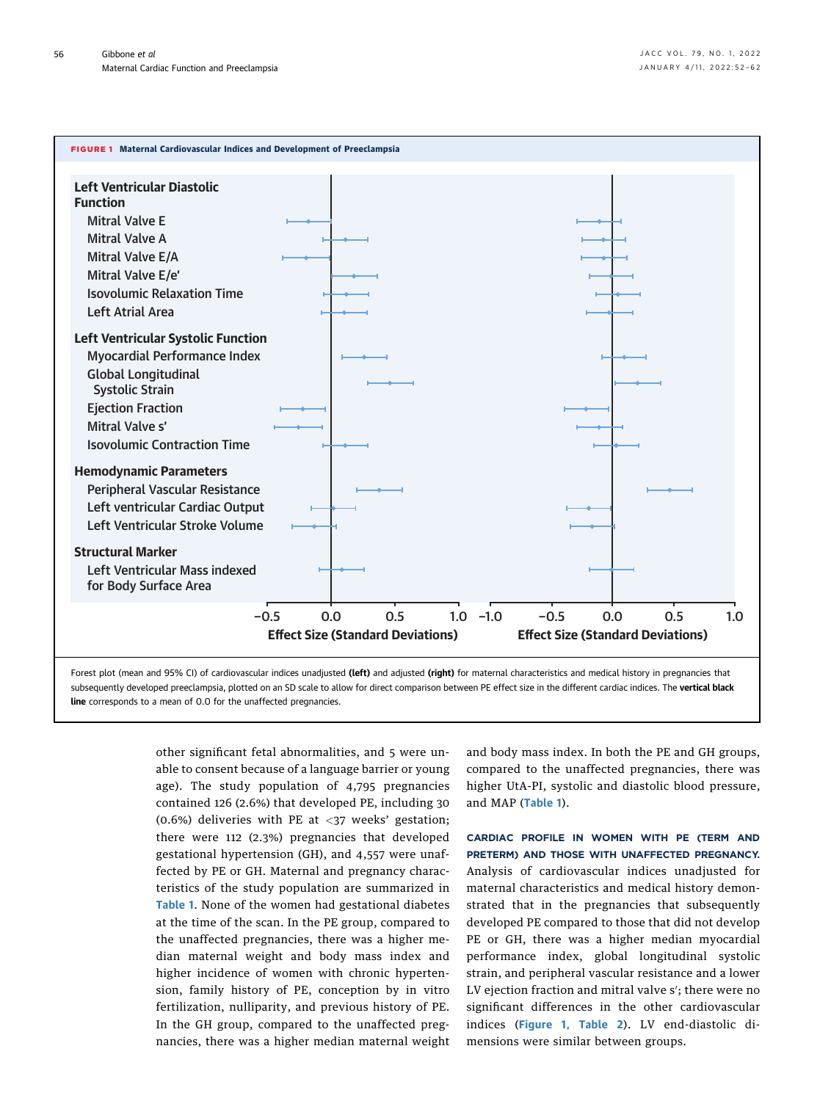<span id="page-4-0"></span>

subsequently developed preeclampsia, plotted on an SD scale to allow for direct comparison between PE effect size in the different cardiac indices. The vertical black line corresponds to a mean of 0.0 for the unaffected pregnancies.

> other significant fetal abnormalities, and 5 were unable to consent because of a language barrier or young age). The study population of 4,795 pregnancies contained 126 (2.6%) that developed PE, including 30 (0.6%) deliveries with PE at  $\langle 37 \rangle$  weeks' gestation; there were 112 (2.3%) pregnancies that developed gestational hypertension (GH), and 4,557 were unaffected by PE or GH. Maternal and pregnancy characteristics of the study population are summarized in [Table 1](#page-3-0). None of the women had gestational diabetes at the time of the scan. In the PE group, compared to the unaffected pregnancies, there was a higher median maternal weight and body mass index and higher incidence of women with chronic hypertension, family history of PE, conception by in vitro fertilization, nulliparity, and previous history of PE. In the GH group, compared to the unaffected pregnancies, there was a higher median maternal weight

and body mass index. In both the PE and GH groups, compared to the unaffected pregnancies, there was higher UtA-PI, systolic and diastolic blood pressure, and MAP ([Table 1](#page-3-0)).

CARDIAC PROFILE IN WOMEN WITH PE (TERM AND PRETERM) AND THOSE WITH UNAFFECTED PREGNANCY. Analysis of cardiovascular indices unadjusted for maternal characteristics and medical history demonstrated that in the pregnancies that subsequently developed PE compared to those that did not develop PE or GH, there was a higher median myocardial performance index, global longitudinal systolic strain, and peripheral vascular resistance and a lower LV ejection fraction and mitral valve s′; there were no significant differences in the other cardiovascular indices ([Figure 1](#page-4-0), [Table 2](#page-5-0)). LV end-diastolic dimensions were similar between groups.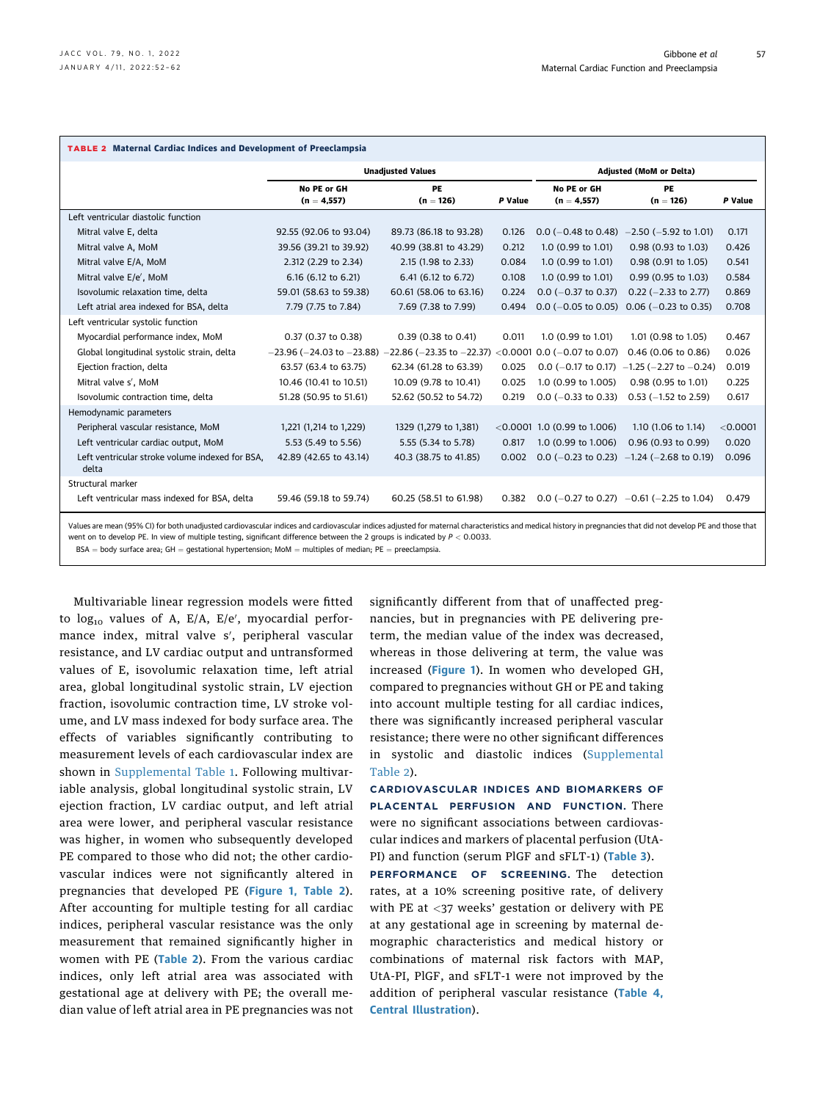<span id="page-5-0"></span>

| <b>TABLE 2 Maternal Cardiac Indices and Development of Preeclampsia</b>                                                                                                                                        |                                                                     |                          |                                |                                |                                             |          |  |
|----------------------------------------------------------------------------------------------------------------------------------------------------------------------------------------------------------------|---------------------------------------------------------------------|--------------------------|--------------------------------|--------------------------------|---------------------------------------------|----------|--|
|                                                                                                                                                                                                                |                                                                     | <b>Unadjusted Values</b> | <b>Adjusted (MoM or Delta)</b> |                                |                                             |          |  |
|                                                                                                                                                                                                                | No PE or GH<br>$(n = 4,557)$                                        | PE<br>$(n = 126)$        | P Value                        | No PE or GH<br>$(n = 4,557)$   | PE<br>$(n = 126)$                           | P Value  |  |
| Left ventricular diastolic function                                                                                                                                                                            |                                                                     |                          |                                |                                |                                             |          |  |
| Mitral valve E, delta                                                                                                                                                                                          | 92.55 (92.06 to 93.04)                                              | 89.73 (86.18 to 93.28)   | 0.126                          | $0.0$ (-0.48 to 0.48)          | $-2.50$ ( $-5.92$ to 1.01)                  | 0.171    |  |
| Mitral valve A, MoM                                                                                                                                                                                            | 39.56 (39.21 to 39.92)                                              | 40.99 (38.81 to 43.29)   | 0.212                          | 1.0 (0.99 to 1.01)             | 0.98 (0.93 to 1.03)                         | 0.426    |  |
| Mitral valve E/A, MoM                                                                                                                                                                                          | 2.312 (2.29 to 2.34)                                                | 2.15 (1.98 to 2.33)      | 0.084                          | 1.0 (0.99 to 1.01)             | 0.98 (0.91 to 1.05)                         | 0.541    |  |
| Mitral valve E/e', MoM                                                                                                                                                                                         | 6.16 (6.12 to 6.21)                                                 | 6.41 (6.12 to 6.72)      | 0.108                          | 1.0 (0.99 to 1.01)             | 0.99 (0.95 to 1.03)                         | 0.584    |  |
| Isovolumic relaxation time, delta                                                                                                                                                                              | 59.01 (58.63 to 59.38)                                              | 60.61 (58.06 to 63.16)   | 0.224                          | $0.0$ (-0.37 to 0.37)          | $0.22$ (-2.33 to 2.77)                      | 0.869    |  |
| Left atrial area indexed for BSA, delta                                                                                                                                                                        | 7.79 (7.75 to 7.84)                                                 | 7.69 (7.38 to 7.99)      | 0.494                          | $0.0$ (-0.05 to 0.05)          | $0.06$ ( $-0.23$ to 0.35)                   | 0.708    |  |
| Left ventricular systolic function                                                                                                                                                                             |                                                                     |                          |                                |                                |                                             |          |  |
| Myocardial performance index, MoM                                                                                                                                                                              | 0.37 (0.37 to 0.38)                                                 | 0.39 (0.38 to 0.41)      | 0.011                          | 1.0 (0.99 to 1.01)             | 1.01 (0.98 to 1.05)                         | 0.467    |  |
| Global longitudinal systolic strain, delta                                                                                                                                                                     | $-23.96$ ( $-24.03$ to $-23.88$ ) $-22.86$ ( $-23.35$ to $-22.37$ ) |                          | < 0.0001                       | $0.0$ (-0.07 to 0.07)          | 0.46 (0.06 to 0.86)                         | 0.026    |  |
| Ejection fraction, delta                                                                                                                                                                                       | 63.57 (63.4 to 63.75)                                               | 62.34 (61.28 to 63.39)   | 0.025                          | $0.0$ (-0.17 to 0.17)          | $-1.25$ ( $-2.27$ to $-0.24$ )              | 0.019    |  |
| Mitral valve s', MoM                                                                                                                                                                                           | 10.46 (10.41 to 10.51)                                              | 10.09 (9.78 to 10.41)    | 0.025                          | 1.0 (0.99 to 1.005)            | 0.98 (0.95 to 1.01)                         | 0.225    |  |
| Isovolumic contraction time, delta                                                                                                                                                                             | 51.28 (50.95 to 51.61)                                              | 52.62 (50.52 to 54.72)   | 0.219                          | $0.0$ (-0.33 to 0.33)          | $0.53$ (-1.52 to 2.59)                      | 0.617    |  |
| Hemodynamic parameters                                                                                                                                                                                         |                                                                     |                          |                                |                                |                                             |          |  |
| Peripheral vascular resistance, MoM                                                                                                                                                                            | 1,221 (1,214 to 1,229)                                              | 1329 (1,279 to 1,381)    |                                | $<$ 0.0001 1.0 (0.99 to 1.006) | 1.10 (1.06 to 1.14)                         | < 0.0001 |  |
| Left ventricular cardiac output, MoM                                                                                                                                                                           | 5.53 (5.49 to 5.56)                                                 | 5.55 (5.34 to 5.78)      | 0.817                          | 1.0 (0.99 to 1.006)            | 0.96 (0.93 to 0.99)                         | 0.020    |  |
| Left ventricular stroke volume indexed for BSA,<br>delta                                                                                                                                                       | 42.89 (42.65 to 43.14)                                              | 40.3 (38.75 to 41.85)    | 0.002                          |                                | $0.0$ (-0.23 to 0.23) -1.24 (-2.68 to 0.19) | 0.096    |  |
| Structural marker                                                                                                                                                                                              |                                                                     |                          |                                |                                |                                             |          |  |
| Left ventricular mass indexed for BSA, delta                                                                                                                                                                   | 59.46 (59.18 to 59.74)                                              | 60.25 (58.51 to 61.98)   | 0.382                          |                                | $0.0$ (-0.27 to 0.27) -0.61 (-2.25 to 1.04) | 0.479    |  |
| Values are mean (95% CI) for both unadjusted cardiovascular indices and cardiovascular indices adjusted for maternal characteristics and medical history in pregnancies that did not develop PE and those that |                                                                     |                          |                                |                                |                                             |          |  |

Values are mean (95% CI) for both unadjusted cardiovascular indices and cardiovascular indices adjusted for maternal characteristics and medical history in pregnancies that did not develop PE and those that went on to develop PE. In view of multiple testing, significant difference between the 2 groups is indicated by  $P < 0.0033$ .

 $BSA = body$  surface area;  $GH =$  gestational hypertension; MoM = multiples of median; PE = preeclampsia.

Multivariable linear regression models were fitted to log<sub>10</sub> values of A, E/A, E/e′, myocardial performance index, mitral valve s′, peripheral vascular resistance, and LV cardiac output and untransformed values of E, isovolumic relaxation time, left atrial area, global longitudinal systolic strain, LV ejection fraction, isovolumic contraction time, LV stroke volume, and LV mass indexed for body surface area. The effects of variables significantly contributing to measurement levels of each cardiovascular index are shown in [Supplemental Table 1.](https://doi.org/10.1016/j.jacc.2021.10.033) Following multivariable analysis, global longitudinal systolic strain, LV ejection fraction, LV cardiac output, and left atrial area were lower, and peripheral vascular resistance was higher, in women who subsequently developed PE compared to those who did not; the other cardiovascular indices were not significantly altered in pregnancies that developed PE ([Figure 1,](#page-4-0) [Table 2](#page-5-0)). After accounting for multiple testing for all cardiac indices, peripheral vascular resistance was the only measurement that remained significantly higher in women with PE ([Table 2](#page-5-0)). From the various cardiac indices, only left atrial area was associated with gestational age at delivery with PE; the overall median value of left atrial area in PE pregnancies was not

significantly different from that of unaffected pregnancies, but in pregnancies with PE delivering preterm, the median value of the index was decreased, whereas in those delivering at term, the value was increased ([Figure 1](#page-4-0)). In women who developed GH, compared to pregnancies without GH or PE and taking into account multiple testing for all cardiac indices, there was significantly increased peripheral vascular resistance; there were no other significant differences in systolic and diastolic indices ([Supplemental](https://doi.org/10.1016/j.jacc.2021.10.033) [Table 2](https://doi.org/10.1016/j.jacc.2021.10.033)).

CARDIOVASCULAR INDICES AND BIOMARKERS OF PLACENTAL PERFUSION AND FUNCTION. There were no significant associations between cardiovascular indices and markers of placental perfusion (UtA-PI) and function (serum PlGF and sFLT-1) ([Table 3](#page-6-0)).

PERFORMANCE OF SCREENING. The detection rates, at a 10% screening positive rate, of delivery with PE at <37 weeks' gestation or delivery with PE at any gestational age in screening by maternal demographic characteristics and medical history or combinations of maternal risk factors with MAP, UtA-PI, PlGF, and sFLT-1 were not improved by the addition of peripheral vascular resistance ([Table 4](#page-7-0), [Central Illustration](#page-8-0)).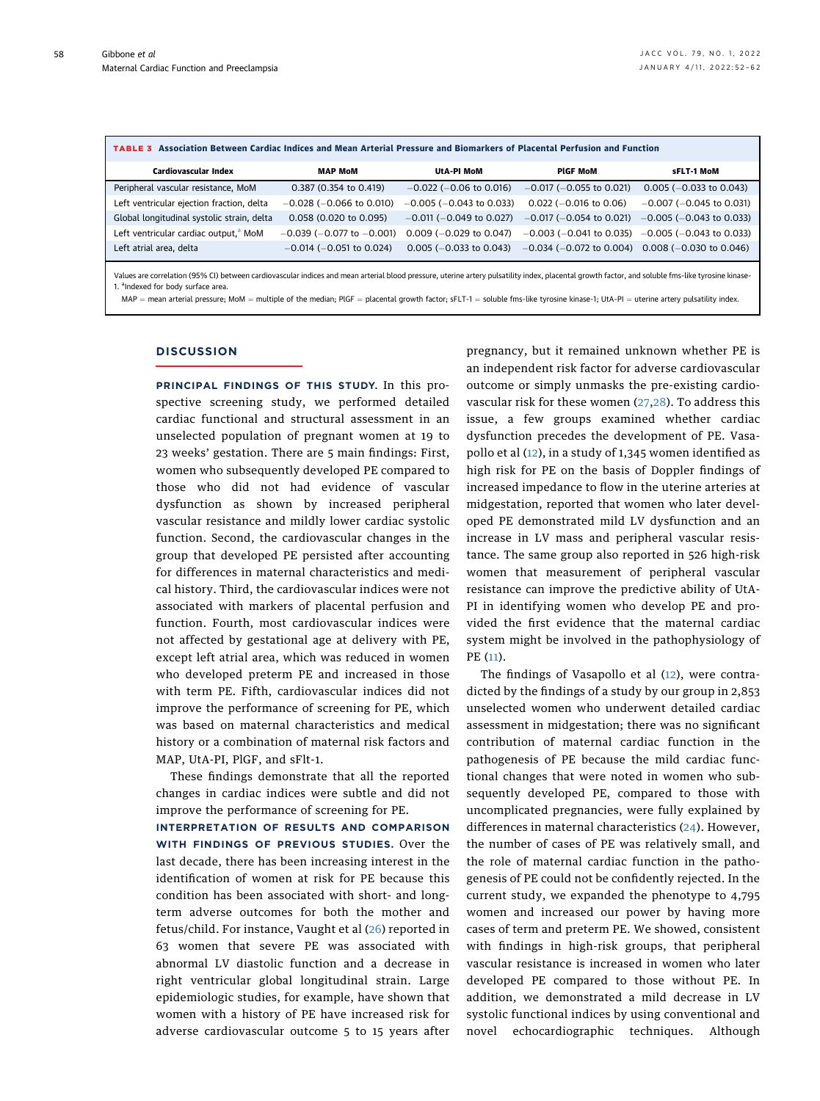58

<span id="page-6-0"></span>

| TABLE 3 Association Between Cardiac Indices and Mean Arterial Pressure and Biomarkers of Placental Perfusion and Function                                                                         |                                   |                               |                                                          |                               |  |  |  |
|---------------------------------------------------------------------------------------------------------------------------------------------------------------------------------------------------|-----------------------------------|-------------------------------|----------------------------------------------------------|-------------------------------|--|--|--|
| Cardiovascular Index                                                                                                                                                                              | <b>MAP MoM</b>                    | UtA-PI MoM                    | <b>PIGF MoM</b>                                          | sFLT-1 MoM                    |  |  |  |
| Peripheral vascular resistance, MoM                                                                                                                                                               | 0.387 (0.354 to 0.419)            | $-0.022$ ( $-0.06$ to 0.016)  | $-0.017$ ( $-0.055$ to 0.021)                            | $0.005 (-0.033$ to 0.043)     |  |  |  |
| Left ventricular ejection fraction, delta                                                                                                                                                         | $-0.028$ ( $-0.066$ to 0.010)     | $-0.005$ ( $-0.043$ to 0.033) | $0.022$ (-0.016 to 0.06)                                 | $-0.007$ ( $-0.045$ to 0.031) |  |  |  |
| Global longitudinal systolic strain, delta                                                                                                                                                        | 0.058 (0.020 to 0.095)            | $-0.011$ ( $-0.049$ to 0.027) | $-0.017$ ( $-0.054$ to 0.021)                            | $-0.005$ ( $-0.043$ to 0.033) |  |  |  |
| Left ventricular cardiac output, <sup>a</sup> MoM                                                                                                                                                 | $-0.039$ ( $-0.077$ to $-0.001$ ) | $0.009$ (-0.029 to 0.047)     | $-0.003$ ( $-0.041$ to 0.035)                            | $-0.005$ ( $-0.043$ to 0.033) |  |  |  |
| Left atrial area, delta                                                                                                                                                                           | $-0.014$ ( $-0.051$ to 0.024)     | $0.005 (-0.033$ to $0.043)$   | $-0.034$ ( $-0.072$ to 0.004) 0.008 ( $-0.030$ to 0.046) |                               |  |  |  |
| Values are correlation (95% CI) between cardiovascular indices and mean arterial blood pressure, uterine artery pulsatility index, placental growth factor, and soluble fms-like tyrosine kinase- |                                   |                               |                                                          |                               |  |  |  |

<span id="page-6-1"></span>1. <sup>a</sup>Indexed for body surface area. MAP = mean arterial pressure; MoM = multiple of the median; PlGF = placental growth factor; sFLT-1 = soluble fms-like tyrosine kinase-1; UtA-PI = uterine artery pulsatility index.

#### **DISCUSSION**

PRINCIPAL FINDINGS OF THIS STUDY. In this prospective screening study, we performed detailed cardiac functional and structural assessment in an unselected population of pregnant women at 19 to 23 weeks' gestation. There are 5 main findings: First, women who subsequently developed PE compared to those who did not had evidence of vascular dysfunction as shown by increased peripheral vascular resistance and mildly lower cardiac systolic function. Second, the cardiovascular changes in the group that developed PE persisted after accounting for differences in maternal characteristics and medical history. Third, the cardiovascular indices were not associated with markers of placental perfusion and function. Fourth, most cardiovascular indices were not affected by gestational age at delivery with PE, except left atrial area, which was reduced in women who developed preterm PE and increased in those with term PE. Fifth, cardiovascular indices did not improve the performance of screening for PE, which was based on maternal characteristics and medical history or a combination of maternal risk factors and MAP, UtA-PI, PlGF, and sFlt-1.

These findings demonstrate that all the reported changes in cardiac indices were subtle and did not improve the performance of screening for PE.

INTERPRETATION OF RESULTS AND COMPARISON WITH FINDINGS OF PREVIOUS STUDIES. Over the last decade, there has been increasing interest in the identification of women at risk for PE because this condition has been associated with short- and longterm adverse outcomes for both the mother and fetus/child. For instance, Vaught et al [\(26](#page-9-20)) reported in 63 women that severe PE was associated with abnormal LV diastolic function and a decrease in right ventricular global longitudinal strain. Large epidemiologic studies, for example, have shown that women with a history of PE have increased risk for adverse cardiovascular outcome 5 to 15 years after

pregnancy, but it remained unknown whether PE is an independent risk factor for adverse cardiovascular outcome or simply unmasks the pre-existing cardiovascular risk for these women [\(27,](#page-9-21)[28](#page-9-22)). To address this issue, a few groups examined whether cardiac dysfunction precedes the development of PE. Vasapollo et al ([12](#page-9-6)), in a study of 1,345 women identified as high risk for PE on the basis of Doppler findings of increased impedance to flow in the uterine arteries at midgestation, reported that women who later developed PE demonstrated mild LV dysfunction and an increase in LV mass and peripheral vascular resistance. The same group also reported in 526 high-risk women that measurement of peripheral vascular resistance can improve the predictive ability of UtA-PI in identifying women who develop PE and provided the first evidence that the maternal cardiac system might be involved in the pathophysiology of PE [\(11](#page-9-5)).

The findings of Vasapollo et al ([12](#page-9-6)), were contradicted by the findings of a study by our group in 2,853 unselected women who underwent detailed cardiac assessment in midgestation; there was no significant contribution of maternal cardiac function in the pathogenesis of PE because the mild cardiac functional changes that were noted in women who subsequently developed PE, compared to those with uncomplicated pregnancies, were fully explained by differences in maternal characteristics [\(24\)](#page-9-18). However, the number of cases of PE was relatively small, and the role of maternal cardiac function in the pathogenesis of PE could not be confidently rejected. In the current study, we expanded the phenotype to 4,795 women and increased our power by having more cases of term and preterm PE. We showed, consistent with findings in high-risk groups, that peripheral vascular resistance is increased in women who later developed PE compared to those without PE. In addition, we demonstrated a mild decrease in LV systolic functional indices by using conventional and novel echocardiographic techniques. Although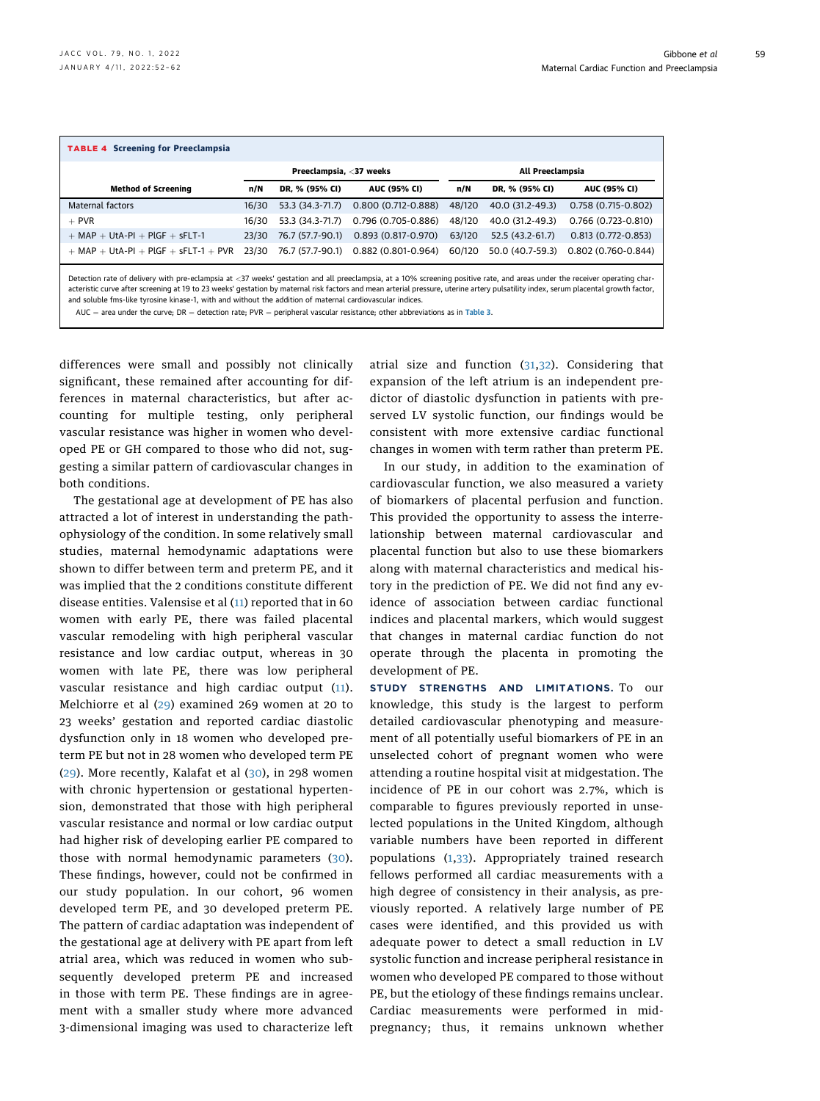<span id="page-7-0"></span>

| <b>TABLE 4 Screening for Preeclampsia</b>                                                                                                                                                                                                                                                                                                                                                                                                                                      |                         |                  |                                      |        |                  |                        |
|--------------------------------------------------------------------------------------------------------------------------------------------------------------------------------------------------------------------------------------------------------------------------------------------------------------------------------------------------------------------------------------------------------------------------------------------------------------------------------|-------------------------|------------------|--------------------------------------|--------|------------------|------------------------|
|                                                                                                                                                                                                                                                                                                                                                                                                                                                                                | Preeclampsia, <37 weeks |                  | All Preeclampsia                     |        |                  |                        |
| <b>Method of Screening</b>                                                                                                                                                                                                                                                                                                                                                                                                                                                     | n/N                     | DR. % (95% CI)   | <b>AUC (95% CI)</b>                  | n/N    | DR. % (95% CI)   | <b>AUC (95% CI)</b>    |
| Maternal factors                                                                                                                                                                                                                                                                                                                                                                                                                                                               | 16/30                   | 53.3 (34.3-71.7) | 0.800 (0.712-0.888)                  | 48/120 | 40.0 (31.2-49.3) | 0.758 (0.715-0.802)    |
| $+$ PVR                                                                                                                                                                                                                                                                                                                                                                                                                                                                        | 16/30                   | 53.3 (34.3-71.7) | 0.796 (0.705-0.886)                  | 48/120 | 40.0 (31.2-49.3) | 0.766 (0.723-0.810)    |
| $+$ MAP $+$ UtA-PI $+$ PlGF $+$ sFLT-1                                                                                                                                                                                                                                                                                                                                                                                                                                         | 23/30                   | 76.7 (57.7-90.1) | $0.893(0.817 - 0.970)$               | 63/120 | 52.5 (43.2-61.7) | $0.813(0.772 - 0.853)$ |
| $+$ MAP $+$ UtA-PI $+$ PlGF $+$ sFLT-1 $+$ PVR                                                                                                                                                                                                                                                                                                                                                                                                                                 | 23/30                   |                  | 76.7 (57.7-90.1) 0.882 (0.801-0.964) | 60/120 | 50.0 (40.7-59.3) | 0.802 (0.760-0.844)    |
| Detection rate of delivery with pre-eclampsia at <37 weeks' gestation and all preeclampsia, at a 10% screening positive rate, and areas under the receiver operating char-<br>acteristic curve after screening at 19 to 23 weeks' gestation by maternal risk factors and mean arterial pressure, uterine artery pulsatility index, serum placental growth factor,<br>and soluble fms-like tyrosine kinase-1, with and without the addition of maternal cardiovascular indices. |                         |                  |                                      |        |                  |                        |

AUC = area under the curve; DR = detection rate; PVR = peripheral vascular resistance; other abbreviations as in [Table 3](#page-6-0).

differences were small and possibly not clinically significant, these remained after accounting for differences in maternal characteristics, but after accounting for multiple testing, only peripheral vascular resistance was higher in women who developed PE or GH compared to those who did not, suggesting a similar pattern of cardiovascular changes in both conditions.

The gestational age at development of PE has also attracted a lot of interest in understanding the pathophysiology of the condition. In some relatively small studies, maternal hemodynamic adaptations were shown to differ between term and preterm PE, and it was implied that the 2 conditions constitute different disease entities. Valensise et al ([11\)](#page-9-5) reported that in 60 women with early PE, there was failed placental vascular remodeling with high peripheral vascular resistance and low cardiac output, whereas in 30 women with late PE, there was low peripheral vascular resistance and high cardiac output ([11\)](#page-9-5). Melchiorre et al ([29](#page-9-23)) examined 269 women at 20 to 23 weeks' gestation and reported cardiac diastolic dysfunction only in 18 women who developed preterm PE but not in 28 women who developed term PE ([29\)](#page-9-23). More recently, Kalafat et al ([30](#page-9-24)), in 298 women with chronic hypertension or gestational hypertension, demonstrated that those with high peripheral vascular resistance and normal or low cardiac output had higher risk of developing earlier PE compared to those with normal hemodynamic parameters ([30\)](#page-9-24). These findings, however, could not be confirmed in our study population. In our cohort, 96 women developed term PE, and 30 developed preterm PE. The pattern of cardiac adaptation was independent of the gestational age at delivery with PE apart from left atrial area, which was reduced in women who subsequently developed preterm PE and increased in those with term PE. These findings are in agreement with a smaller study where more advanced 3-dimensional imaging was used to characterize left

atrial size and function ([31](#page-9-25),[32](#page-9-26)). Considering that expansion of the left atrium is an independent predictor of diastolic dysfunction in patients with preserved LV systolic function, our findings would be consistent with more extensive cardiac functional changes in women with term rather than preterm PE.

In our study, in addition to the examination of cardiovascular function, we also measured a variety of biomarkers of placental perfusion and function. This provided the opportunity to assess the interrelationship between maternal cardiovascular and placental function but also to use these biomarkers along with maternal characteristics and medical history in the prediction of PE. We did not find any evidence of association between cardiac functional indices and placental markers, which would suggest that changes in maternal cardiac function do not operate through the placenta in promoting the development of PE.

STUDY STRENGTHS AND LIMITATIONS. To our knowledge, this study is the largest to perform detailed cardiovascular phenotyping and measurement of all potentially useful biomarkers of PE in an unselected cohort of pregnant women who were attending a routine hospital visit at midgestation. The incidence of PE in our cohort was 2.7%, which is comparable to figures previously reported in unselected populations in the United Kingdom, although variable numbers have been reported in different populations ([1](#page-9-0),[33](#page-10-0)). Appropriately trained research fellows performed all cardiac measurements with a high degree of consistency in their analysis, as previously reported. A relatively large number of PE cases were identified, and this provided us with adequate power to detect a small reduction in LV systolic function and increase peripheral resistance in women who developed PE compared to those without PE, but the etiology of these findings remains unclear. Cardiac measurements were performed in midpregnancy; thus, it remains unknown whether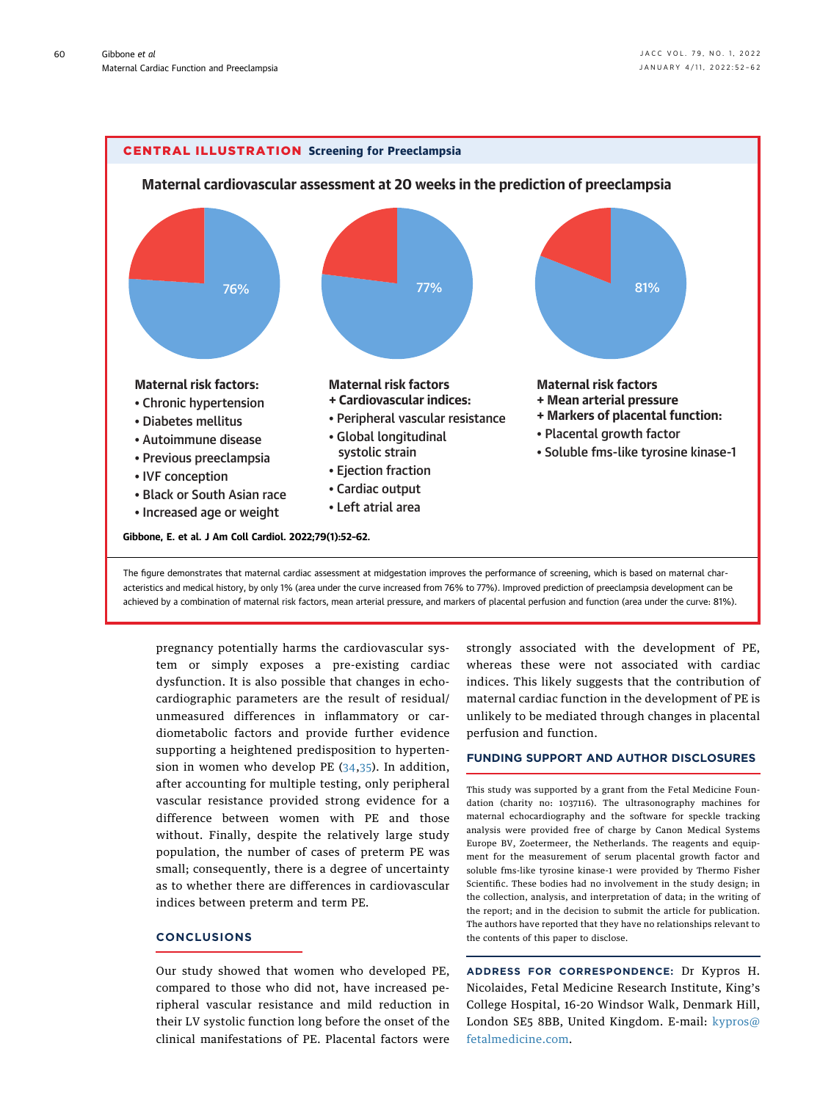<span id="page-8-0"></span>

pregnancy potentially harms the cardiovascular system or simply exposes a pre-existing cardiac dysfunction. It is also possible that changes in echocardiographic parameters are the result of residual/ unmeasured differences in inflammatory or cardiometabolic factors and provide further evidence supporting a heightened predisposition to hypertension in women who develop PE ([34](#page-10-1),[35](#page-10-2)). In addition, after accounting for multiple testing, only peripheral vascular resistance provided strong evidence for a difference between women with PE and those without. Finally, despite the relatively large study population, the number of cases of preterm PE was small; consequently, there is a degree of uncertainty as to whether there are differences in cardiovascular indices between preterm and term PE.

# **CONCLUSIONS**

Our study showed that women who developed PE, compared to those who did not, have increased peripheral vascular resistance and mild reduction in their LV systolic function long before the onset of the clinical manifestations of PE. Placental factors were

strongly associated with the development of PE, whereas these were not associated with cardiac indices. This likely suggests that the contribution of maternal cardiac function in the development of PE is unlikely to be mediated through changes in placental perfusion and function.

# FUNDING SUPPORT AND AUTHOR DISCLOSURES

This study was supported by a grant from the Fetal Medicine Foundation (charity no: 1037116). The ultrasonography machines for maternal echocardiography and the software for speckle tracking analysis were provided free of charge by Canon Medical Systems Europe BV, Zoetermeer, the Netherlands. The reagents and equipment for the measurement of serum placental growth factor and soluble fms-like tyrosine kinase-1 were provided by Thermo Fisher Scientific. These bodies had no involvement in the study design; in the collection, analysis, and interpretation of data; in the writing of the report; and in the decision to submit the article for publication. The authors have reported that they have no relationships relevant to the contents of this paper to disclose.

ADDRESS FOR CORRESPONDENCE: Dr Kypros H. Nicolaides, Fetal Medicine Research Institute, King's College Hospital, 16-20 Windsor Walk, Denmark Hill, London SE5 8BB, United Kingdom. E-mail: [kypros@](mailto:kypros@fetalmedicine.com) [fetalmedicine.com.](mailto:kypros@fetalmedicine.com)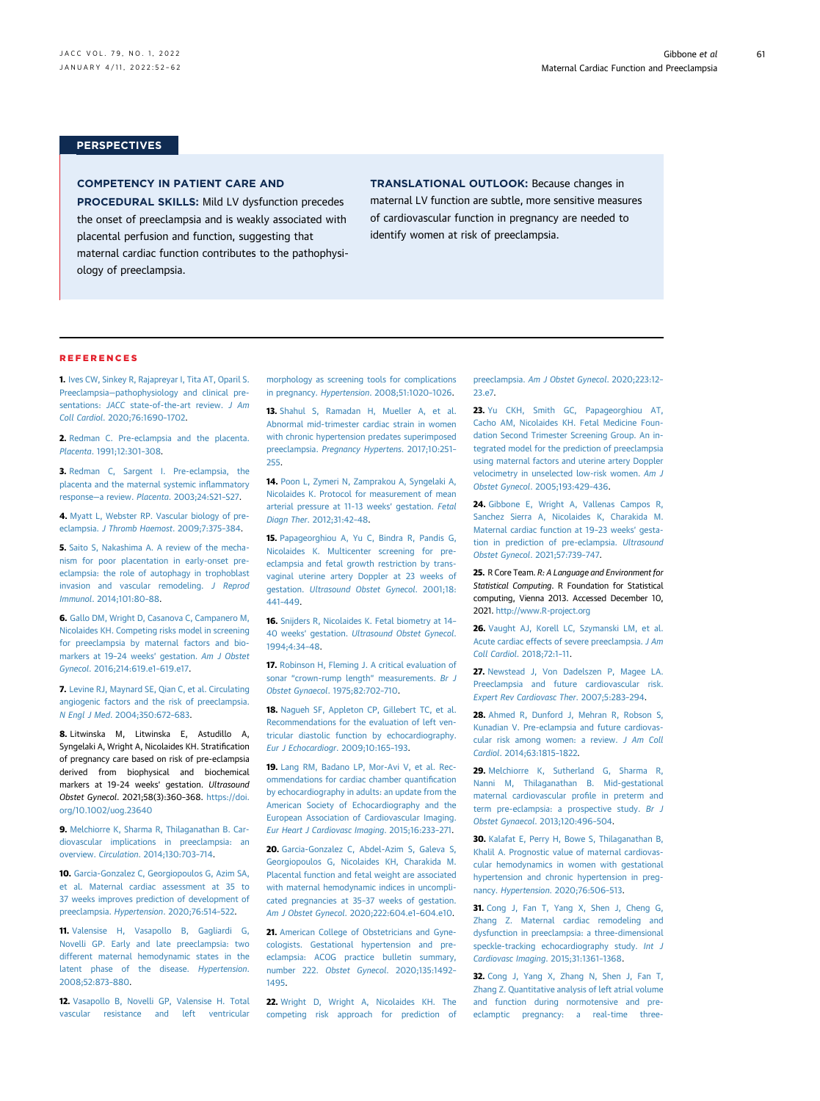61

# **PERSPECTIVES**

# COMPETENCY IN PATIENT CARE AND

PROCEDURAL SKILLS: Mild LV dysfunction precedes the onset of preeclampsia and is weakly associated with placental perfusion and function, suggesting that maternal cardiac function contributes to the pathophysiology of preeclampsia.

TRANSLATIONAL OUTLOOK: Because changes in maternal LV function are subtle, more sensitive measures of cardiovascular function in pregnancy are needed to identify women at risk of preeclampsia.

#### REFERENCES

<span id="page-9-0"></span>1. [Ives CW, Sinkey R, Rajapreyar I, Tita AT, Oparil S.](http://refhub.elsevier.com/S0735-1097(21)08020-7/sref1) Preeclampsia—[pathophysiology and clinical pre](http://refhub.elsevier.com/S0735-1097(21)08020-7/sref1)sentations: JACC [state-of-the-art review.](http://refhub.elsevier.com/S0735-1097(21)08020-7/sref1) J Am Coll Cardiol[. 2020;76:1690](http://refhub.elsevier.com/S0735-1097(21)08020-7/sref1)–1702.

<span id="page-9-1"></span>2. [Redman C. Pre-eclampsia and the placenta.](http://refhub.elsevier.com/S0735-1097(21)08020-7/sref2) Placenta[. 1991;12:301](http://refhub.elsevier.com/S0735-1097(21)08020-7/sref2)–308.

3. [Redman C, Sargent I. Pre-eclampsia, the](http://refhub.elsevier.com/S0735-1097(21)08020-7/sref3) [placenta and the maternal systemic in](http://refhub.elsevier.com/S0735-1097(21)08020-7/sref3)flammatory response—a review. Placenta[. 2003;24:S21](http://refhub.elsevier.com/S0735-1097(21)08020-7/sref3)–S27.

4. [Myatt L, Webster RP. Vascular biology of pre](http://refhub.elsevier.com/S0735-1097(21)08020-7/sref4)eclampsia. [J Thromb Haemost](http://refhub.elsevier.com/S0735-1097(21)08020-7/sref4). 2009;7:375–384.

5. [Saito S, Nakashima A. A review of the mecha](http://refhub.elsevier.com/S0735-1097(21)08020-7/sref5)[nism for poor placentation in early-onset pre](http://refhub.elsevier.com/S0735-1097(21)08020-7/sref5)[eclampsia: the role of autophagy in trophoblast](http://refhub.elsevier.com/S0735-1097(21)08020-7/sref5) [invasion and vascular remodeling.](http://refhub.elsevier.com/S0735-1097(21)08020-7/sref5) J Reprod Immunol[. 2014;101:80](http://refhub.elsevier.com/S0735-1097(21)08020-7/sref5)–88.

<span id="page-9-2"></span>6. [Gallo DM, Wright D, Casanova C, Campanero M,](http://refhub.elsevier.com/S0735-1097(21)08020-7/sref6) [Nicolaides KH. Competing risks model in screening](http://refhub.elsevier.com/S0735-1097(21)08020-7/sref6) [for preeclampsia by maternal factors and bio](http://refhub.elsevier.com/S0735-1097(21)08020-7/sref6)[markers at 19](http://refhub.elsevier.com/S0735-1097(21)08020-7/sref6)–24 weeks' gestation. Am J Obstet Gynecol[. 2016;214:619.e1](http://refhub.elsevier.com/S0735-1097(21)08020-7/sref6)–619.e17.

7. [Levine RJ, Maynard SE, Qian C, et al. Circulating](http://refhub.elsevier.com/S0735-1097(21)08020-7/sref7) [angiogenic factors and the risk of preeclampsia.](http://refhub.elsevier.com/S0735-1097(21)08020-7/sref7) N Engl J Med[. 2004;350:672](http://refhub.elsevier.com/S0735-1097(21)08020-7/sref7)–683.

8. Litwinska M, Litwinska E, Astudillo A, Syngelaki A, Wright A, Nicolaides KH. Stratification of pregnancy care based on risk of pre-eclampsia derived from biophysical and biochemical markers at 19-24 weeks' gestation. Ultrasound Obstet Gynecol. 2021;58(3):360–368. [https://doi.](https://doi.org/10.1002/uog.23640) [org/10.1002/uog.23640](https://doi.org/10.1002/uog.23640)

<span id="page-9-3"></span>9. [Melchiorre K, Sharma R, Thilaganathan B. Car](http://refhub.elsevier.com/S0735-1097(21)08020-7/sref9)[diovascular implications in preeclampsia: an](http://refhub.elsevier.com/S0735-1097(21)08020-7/sref9) overview. Circulation[. 2014;130:703](http://refhub.elsevier.com/S0735-1097(21)08020-7/sref9)–714.

<span id="page-9-4"></span>10. [Garcia-Gonzalez C, Georgiopoulos G, Azim SA,](http://refhub.elsevier.com/S0735-1097(21)08020-7/sref10) [et al. Maternal cardiac assessment at 35 to](http://refhub.elsevier.com/S0735-1097(21)08020-7/sref10) [37 weeks improves prediction of development of](http://refhub.elsevier.com/S0735-1097(21)08020-7/sref10) preeclampsia. Hypertension[. 2020;76:514](http://refhub.elsevier.com/S0735-1097(21)08020-7/sref10)–522.

<span id="page-9-5"></span>11. [Valensise H, Vasapollo B, Gagliardi G,](http://refhub.elsevier.com/S0735-1097(21)08020-7/sref11) [Novelli GP. Early and late preeclampsia: two](http://refhub.elsevier.com/S0735-1097(21)08020-7/sref11) [different maternal hemodynamic states in the](http://refhub.elsevier.com/S0735-1097(21)08020-7/sref11) [latent phase of the disease.](http://refhub.elsevier.com/S0735-1097(21)08020-7/sref11) Hypertension. [2008;52:873](http://refhub.elsevier.com/S0735-1097(21)08020-7/sref11)–880.

<span id="page-9-6"></span>12. [Vasapollo B, Novelli GP, Valensise H. Total](http://refhub.elsevier.com/S0735-1097(21)08020-7/sref12) [vascular resistance and left ventricular](http://refhub.elsevier.com/S0735-1097(21)08020-7/sref12) [morphology as screening tools for complications](http://refhub.elsevier.com/S0735-1097(21)08020-7/sref12) in pregnancy. Hypertension[. 2008;51:1020](http://refhub.elsevier.com/S0735-1097(21)08020-7/sref12)–1026.

<span id="page-9-7"></span>13. [Shahul S, Ramadan H, Mueller A, et al.](http://refhub.elsevier.com/S0735-1097(21)08020-7/sref13) [Abnormal mid-trimester cardiac strain in women](http://refhub.elsevier.com/S0735-1097(21)08020-7/sref13) [with chronic hypertension predates superimposed](http://refhub.elsevier.com/S0735-1097(21)08020-7/sref13) preeclampsia. [Pregnancy Hypertens](http://refhub.elsevier.com/S0735-1097(21)08020-7/sref13). 2017;10:251– [255](http://refhub.elsevier.com/S0735-1097(21)08020-7/sref13).

<span id="page-9-8"></span>14. [Poon L, Zymeri N, Zamprakou A, Syngelaki A,](http://refhub.elsevier.com/S0735-1097(21)08020-7/sref14) [Nicolaides K. Protocol for measurement of mean](http://refhub.elsevier.com/S0735-1097(21)08020-7/sref14) [arterial pressure at 11-13 weeks](http://refhub.elsevier.com/S0735-1097(21)08020-7/sref14)' gestation. Fetal Diagn Ther[. 2012;31:42](http://refhub.elsevier.com/S0735-1097(21)08020-7/sref14)–48.

<span id="page-9-9"></span>15. [Papageorghiou A, Yu C, Bindra R, Pandis G,](http://refhub.elsevier.com/S0735-1097(21)08020-7/sref15) [Nicolaides K. Multicenter screening for pre](http://refhub.elsevier.com/S0735-1097(21)08020-7/sref15)[eclampsia and fetal growth restriction by trans](http://refhub.elsevier.com/S0735-1097(21)08020-7/sref15)[vaginal uterine artery Doppler at 23 weeks of](http://refhub.elsevier.com/S0735-1097(21)08020-7/sref15) gestation. [Ultrasound Obstet Gynecol](http://refhub.elsevier.com/S0735-1097(21)08020-7/sref15). 2001;18: 441–[449.](http://refhub.elsevier.com/S0735-1097(21)08020-7/sref15)

<span id="page-9-10"></span>16. [Snijders R, Nicolaides K. Fetal biometry at 14](http://refhub.elsevier.com/S0735-1097(21)08020-7/sref16)– 40 weeks' gestation. [Ultrasound Obstet Gynecol](http://refhub.elsevier.com/S0735-1097(21)08020-7/sref16). [1994;4:34](http://refhub.elsevier.com/S0735-1097(21)08020-7/sref16)–48.

<span id="page-9-11"></span>17. [Robinson H, Fleming J. A critical evaluation of](http://refhub.elsevier.com/S0735-1097(21)08020-7/sref17) sonar "[crown-rump length](http://refhub.elsevier.com/S0735-1097(21)08020-7/sref17)" measurements. Br J [Obstet Gynaecol](http://refhub.elsevier.com/S0735-1097(21)08020-7/sref17). 1975;82:702–710.

<span id="page-9-12"></span>18. [Nagueh SF, Appleton CP, Gillebert TC, et al.](http://refhub.elsevier.com/S0735-1097(21)08020-7/sref18) [Recommendations for the evaluation of left ven](http://refhub.elsevier.com/S0735-1097(21)08020-7/sref18)[tricular diastolic function by echocardiography.](http://refhub.elsevier.com/S0735-1097(21)08020-7/sref18) [Eur J Echocardiogr](http://refhub.elsevier.com/S0735-1097(21)08020-7/sref18). 2009;10:165–193.

<span id="page-9-13"></span>19. [Lang RM, Badano LP, Mor-Avi V, et al. Rec](http://refhub.elsevier.com/S0735-1097(21)08020-7/sref19)[ommendations for cardiac chamber quanti](http://refhub.elsevier.com/S0735-1097(21)08020-7/sref19)fication [by echocardiography in adults: an update from the](http://refhub.elsevier.com/S0735-1097(21)08020-7/sref19) [American Society of Echocardiography and the](http://refhub.elsevier.com/S0735-1097(21)08020-7/sref19) [European Association of Cardiovascular Imaging.](http://refhub.elsevier.com/S0735-1097(21)08020-7/sref19) [Eur Heart J Cardiovasc Imaging](http://refhub.elsevier.com/S0735-1097(21)08020-7/sref19). 2015;16:233–271.

<span id="page-9-14"></span>20. [Garcia-Gonzalez C, Abdel-Azim S, Galeva S,](http://refhub.elsevier.com/S0735-1097(21)08020-7/sref20) [Georgiopoulos G, Nicolaides KH, Charakida M.](http://refhub.elsevier.com/S0735-1097(21)08020-7/sref20) [Placental function and fetal weight are associated](http://refhub.elsevier.com/S0735-1097(21)08020-7/sref20) [with maternal hemodynamic indices in uncompli](http://refhub.elsevier.com/S0735-1097(21)08020-7/sref20)[cated pregnancies at 35](http://refhub.elsevier.com/S0735-1097(21)08020-7/sref20)–37 weeks of gestation. [Am J Obstet Gynecol](http://refhub.elsevier.com/S0735-1097(21)08020-7/sref20). 2020;222:604.e1–604.e10.

<span id="page-9-15"></span>21. [American College of Obstetricians and Gyne](http://refhub.elsevier.com/S0735-1097(21)08020-7/sref21)[cologists. Gestational hypertension and pre](http://refhub.elsevier.com/S0735-1097(21)08020-7/sref21)[eclampsia: ACOG practice bulletin summary,](http://refhub.elsevier.com/S0735-1097(21)08020-7/sref21) number 222. Obstet Gynecol[. 2020;135:1492](http://refhub.elsevier.com/S0735-1097(21)08020-7/sref21)– [1495](http://refhub.elsevier.com/S0735-1097(21)08020-7/sref21).

<span id="page-9-16"></span>22. [Wright D, Wright A, Nicolaides KH. The](http://refhub.elsevier.com/S0735-1097(21)08020-7/sref22) [competing risk approach for prediction of](http://refhub.elsevier.com/S0735-1097(21)08020-7/sref22) preeclampsia. [Am J Obstet Gynecol](http://refhub.elsevier.com/S0735-1097(21)08020-7/sref22). 2020;223:12– [23.e7.](http://refhub.elsevier.com/S0735-1097(21)08020-7/sref22)

<span id="page-9-17"></span>23. [Yu CKH, Smith GC, Papageorghiou AT,](http://refhub.elsevier.com/S0735-1097(21)08020-7/sref23) [Cacho AM, Nicolaides KH. Fetal Medicine Foun](http://refhub.elsevier.com/S0735-1097(21)08020-7/sref23)[dation Second Trimester Screening Group. An in](http://refhub.elsevier.com/S0735-1097(21)08020-7/sref23)[tegrated model for the prediction of preeclampsia](http://refhub.elsevier.com/S0735-1097(21)08020-7/sref23) [using maternal factors and uterine artery Doppler](http://refhub.elsevier.com/S0735-1097(21)08020-7/sref23) [velocimetry in unselected low-risk women.](http://refhub.elsevier.com/S0735-1097(21)08020-7/sref23) Am J Obstet Gynecol[. 2005;193:429](http://refhub.elsevier.com/S0735-1097(21)08020-7/sref23)–436.

<span id="page-9-18"></span>24. [Gibbone E, Wright A, Vallenas Campos R,](http://refhub.elsevier.com/S0735-1097(21)08020-7/sref24) [Sanchez Sierra A, Nicolaides K, Charakida M.](http://refhub.elsevier.com/S0735-1097(21)08020-7/sref24) [Maternal cardiac function at 19](http://refhub.elsevier.com/S0735-1097(21)08020-7/sref24)–23 weeks' gesta[tion in prediction of pre-eclampsia.](http://refhub.elsevier.com/S0735-1097(21)08020-7/sref24) Ultrasound [Obstet Gynecol](http://refhub.elsevier.com/S0735-1097(21)08020-7/sref24). 2021;57:739–747.

<span id="page-9-19"></span>25. R Core Team. R: A Language and Environment for Statistical Computing. R Foundation for Statistical computing, Vienna 2013. Accessed December 10, 2021. <http://www.R-project.org>

<span id="page-9-20"></span>26. [Vaught AJ, Korell LC, Szymanski LM, et al.](http://refhub.elsevier.com/S0735-1097(21)08020-7/sref26) [Acute cardiac effects of severe preeclampsia.](http://refhub.elsevier.com/S0735-1097(21)08020-7/sref26) J Am [Coll Cardiol](http://refhub.elsevier.com/S0735-1097(21)08020-7/sref26). 2018;72:1–11.

<span id="page-9-21"></span>27. [Newstead J, Von Dadelszen P, Magee LA.](http://refhub.elsevier.com/S0735-1097(21)08020-7/sref27) [Preeclampsia and future cardiovascular risk.](http://refhub.elsevier.com/S0735-1097(21)08020-7/sref27) [Expert Rev Cardiovasc Ther](http://refhub.elsevier.com/S0735-1097(21)08020-7/sref27). 2007;5:283–294.

<span id="page-9-22"></span>28. [Ahmed R, Dunford J, Mehran R, Robson S,](http://refhub.elsevier.com/S0735-1097(21)08020-7/sref28) [Kunadian V. Pre-eclampsia and future cardiovas](http://refhub.elsevier.com/S0735-1097(21)08020-7/sref28)[cular risk among women: a review.](http://refhub.elsevier.com/S0735-1097(21)08020-7/sref28) J Am Coll Cardiol[. 2014;63:1815](http://refhub.elsevier.com/S0735-1097(21)08020-7/sref28)–1822.

<span id="page-9-23"></span>29. [Melchiorre K, Sutherland G, Sharma R,](http://refhub.elsevier.com/S0735-1097(21)08020-7/sref29) [Nanni M, Thilaganathan B. Mid-gestational](http://refhub.elsevier.com/S0735-1097(21)08020-7/sref29) [maternal cardiovascular pro](http://refhub.elsevier.com/S0735-1097(21)08020-7/sref29)file in preterm and [term pre-eclampsia: a prospective study.](http://refhub.elsevier.com/S0735-1097(21)08020-7/sref29) Br J [Obstet Gynaecol](http://refhub.elsevier.com/S0735-1097(21)08020-7/sref29). 2013;120:496–504.

<span id="page-9-24"></span>30. [Kalafat E, Perry H, Bowe S, Thilaganathan B,](http://refhub.elsevier.com/S0735-1097(21)08020-7/sref30) [Khalil A. Prognostic value of maternal cardiovas](http://refhub.elsevier.com/S0735-1097(21)08020-7/sref30)[cular hemodynamics in women with gestational](http://refhub.elsevier.com/S0735-1097(21)08020-7/sref30) [hypertension and chronic hypertension in preg](http://refhub.elsevier.com/S0735-1097(21)08020-7/sref30)nancy. Hypertension[. 2020;76:506](http://refhub.elsevier.com/S0735-1097(21)08020-7/sref30)–513.

<span id="page-9-25"></span>31. [Cong J, Fan T, Yang X, Shen J, Cheng G,](http://refhub.elsevier.com/S0735-1097(21)08020-7/sref31) [Zhang Z. Maternal cardiac remodeling and](http://refhub.elsevier.com/S0735-1097(21)08020-7/sref31) [dysfunction in preeclampsia: a three-dimensional](http://refhub.elsevier.com/S0735-1097(21)08020-7/sref31) [speckle-tracking echocardiography study.](http://refhub.elsevier.com/S0735-1097(21)08020-7/sref31) Int J [Cardiovasc Imaging](http://refhub.elsevier.com/S0735-1097(21)08020-7/sref31). 2015;31:1361–1368.

<span id="page-9-26"></span>32. [Cong J, Yang X, Zhang N, Shen J, Fan T,](http://refhub.elsevier.com/S0735-1097(21)08020-7/sref32) [Zhang Z. Quantitative analysis of left atrial volume](http://refhub.elsevier.com/S0735-1097(21)08020-7/sref32) [and function during normotensive and pre](http://refhub.elsevier.com/S0735-1097(21)08020-7/sref32)[eclamptic pregnancy: a real-time three-](http://refhub.elsevier.com/S0735-1097(21)08020-7/sref32)